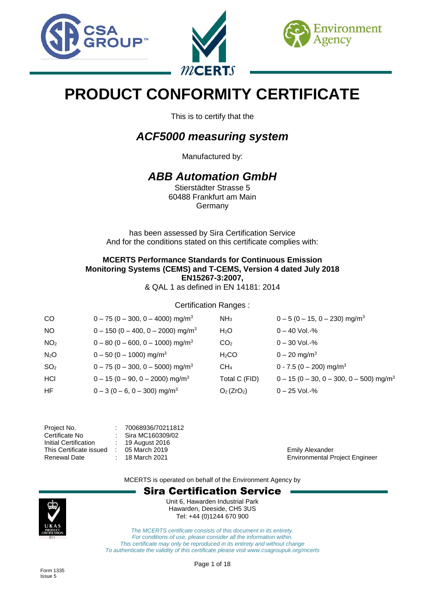





# **PRODUCT CONFORMITY CERTIFICATE**

This is to certify that the

# *ACF5000 measuring system*

Manufactured by:

## *ABB Automation GmbH*

Stierstädter Strasse 5 60488 Frankfurt am Main Germany

has been assessed by Sira Certification Service And for the conditions stated on this certificate complies with:

### **MCERTS Performance Standards for Continuous Emission Monitoring Systems (CEMS) and T-CEMS, Version 4 dated July 2018 EN15267-3:2007,**

& QAL 1 as defined in EN 14181: 2014

#### Certification Ranges :

| <sub>CO</sub>    | $0 - 75 (0 - 300, 0 - 4000)$ mg/m <sup>3</sup>  | NH <sub>3</sub>          | $0 - 5 (0 - 15, 0 - 230)$ mg/m <sup>3</sup>           |
|------------------|-------------------------------------------------|--------------------------|-------------------------------------------------------|
| <b>NO</b>        | $0 - 150 (0 - 400, 0 - 2000)$ mg/m <sup>3</sup> | H <sub>2</sub> O         | $0 - 40$ Vol.-%                                       |
| NO <sub>2</sub>  | $0 - 80 (0 - 600, 0 - 1000)$ mg/m <sup>3</sup>  | CO <sub>2</sub>          | $0 - 30$ Vol.-%                                       |
| N <sub>2</sub> O | $0 - 50 (0 - 1000)$ mg/m <sup>3</sup>           | $H_2CO$                  | $0 - 20$ mg/m <sup>3</sup>                            |
| SO <sub>2</sub>  | $0 - 75 (0 - 300, 0 - 5000)$ mg/m <sup>3</sup>  | CH <sub>4</sub>          | $0 - 7.5 (0 - 200)$ mg/m <sup>3</sup>                 |
| HCI              | $0 - 15 (0 - 90, 0 - 2000)$ mg/m <sup>3</sup>   | Total C (FID)            | $0 - 15 (0 - 30, 0 - 300, 0 - 500)$ mg/m <sup>3</sup> |
| HF               | $0 - 3 (0 - 6, 0 - 300)$ mg/m <sup>3</sup>      | $O2$ (ZrO <sub>2</sub> ) | $0 - 25$ Vol.-%                                       |

| 70068936/70211812 |
|-------------------|
| Sira MC160309/02  |
| 19 August 2016    |
| 05 March 2019     |
| 18 March 2021     |
|                   |

Emily Alexander **Environmental Project Engineer** 

MCERTS is operated on behalf of the Environment Agency by

## Sira Certification Service



Unit 6, Hawarden Industrial Park Hawarden, Deeside, CH5 3US Tel: +44 (0)1244 670 900

*The MCERTS certificate consists of this document in its entirety. For conditions of use, please consider all the information within. This certificate may only be reproduced in its entirety and without change To authenticate the validity of this certificate please visit www.csagroupuk.org/mcerts*

Page 1 of 18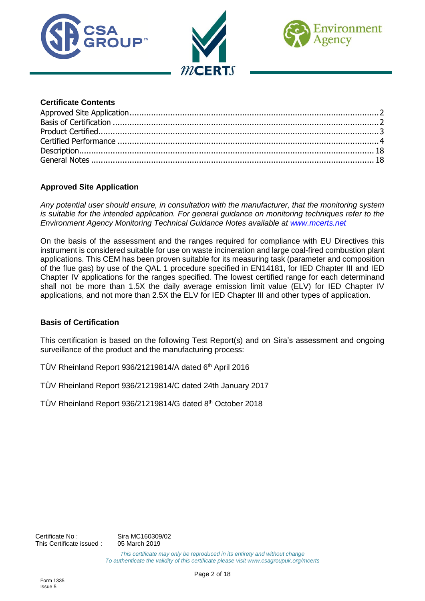





#### **Certificate Contents**

#### <span id="page-1-0"></span>**Approved Site Application**

*Any potential user should ensure, in consultation with the manufacturer, that the monitoring system is suitable for the intended application. For general guidance on monitoring techniques refer to the Environment Agency Monitoring Technical Guidance Notes available at [www.mcerts.net](http://www.mcerts.net/)*

On the basis of the assessment and the ranges required for compliance with EU Directives this instrument is considered suitable for use on waste incineration and large coal-fired combustion plant applications. This CEM has been proven suitable for its measuring task (parameter and composition of the flue gas) by use of the QAL 1 procedure specified in EN14181, for IED Chapter III and IED Chapter IV applications for the ranges specified. The lowest certified range for each determinand shall not be more than 1.5X the daily average emission limit value (ELV) for IED Chapter IV applications, and not more than 2.5X the ELV for IED Chapter III and other types of application.

#### <span id="page-1-1"></span>**Basis of Certification**

This certification is based on the following Test Report(s) and on Sira's assessment and ongoing surveillance of the product and the manufacturing process:

TÜV Rheinland Report 936/21219814/A dated 6<sup>th</sup> April 2016

TÜV Rheinland Report 936/21219814/C dated 24th January 2017

TÜV Rheinland Report 936/21219814/G dated 8 th October 2018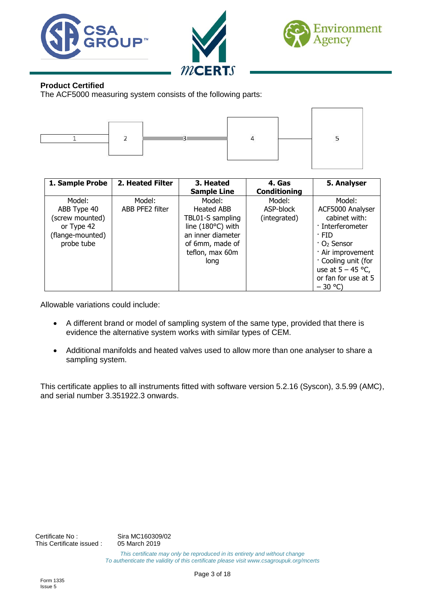





#### <span id="page-2-0"></span>**Product Certified**

The ACF5000 measuring system consists of the following parts:



| 1. Sample Probe  | 2. Heated Filter | 3. Heated<br><b>Sample Line</b> | 4. Gas<br><b>Conditioning</b> | 5. Analyser             |
|------------------|------------------|---------------------------------|-------------------------------|-------------------------|
| Model:           | Model:           | Model:                          | Model:                        | Model:                  |
| ABB Type 40      | ABB PFE2 filter  | Heated ABB                      | ASP-block                     | ACF5000 Analyser        |
| (screw mounted)  |                  | TBL01-S sampling                | (integrated)                  | cabinet with:           |
| or Type 42       |                  | line (180°C) with               |                               | · Interferometer        |
| (flange-mounted) |                  | an inner diameter               |                               | · FID                   |
| probe tube       |                  | of 6mm, made of                 |                               | ∙ O <sub>2</sub> Sensor |
|                  |                  | teflon, max 60m                 |                               | · Air improvement       |
|                  |                  | long                            |                               | Cooling unit (for       |
|                  |                  |                                 |                               | use at $5 - 45$ °C,     |
|                  |                  |                                 |                               | or fan for use at 5     |
|                  |                  |                                 |                               | $-30$ °C)               |

Allowable variations could include:

- A different brand or model of sampling system of the same type, provided that there is evidence the alternative system works with similar types of CEM.
- Additional manifolds and heated valves used to allow more than one analyser to share a sampling system.

This certificate applies to all instruments fitted with software version 5.2.16 (Syscon), 3.5.99 (AMC), and serial number 3.351922.3 onwards.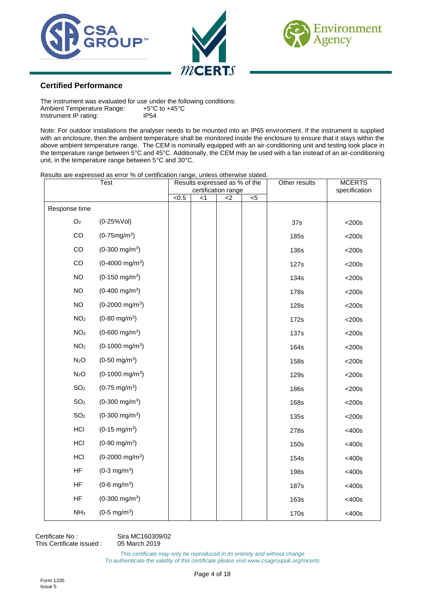





#### <span id="page-3-0"></span>**Certified Performance**

The instrument was evaluated for use under the following conditions:<br>Ambient Temperature Range:  $+5^{\circ}C$  to  $+45^{\circ}C$ Ambient Temperature Range: +5°C<br>Instrument IP rating: 1P54 Instrument IP rating:

Note: For outdoor installations the analyser needs to be mounted into an IP65 environment. If the instrument is supplied with an enclosure, then the ambient temperature shall be monitored inside the enclosure to ensure that it stays within the above ambient temperature range. The CEM is nominally equipped with an air-conditioning unit and testing took place in the temperature range between 5°C and 45°C. Additionally, the CEM may be used with a fan instead of an air-conditioning unit, in the temperature range between 5°C and 30°C.

Results are expressed as error % of certification range, unless otherwise stated.

|                  | <b>Test</b>                |       | Results expressed as % of the | certification range |                | Other results | <b>MCERTS</b><br>specification |
|------------------|----------------------------|-------|-------------------------------|---------------------|----------------|---------------|--------------------------------|
|                  |                            | < 0.5 | < 1                           | $<$ 2               | $\overline{5}$ |               |                                |
| Response time    |                            |       |                               |                     |                |               |                                |
| O <sub>2</sub>   | $(0-25%Vol)$               |       |                               |                     |                | 37s           | $<$ 200s                       |
| CO               | $(0-75mg/m^3)$             |       |                               |                     |                | 185s          | $<$ 200s                       |
| CO               | $(0-300 \text{ mg/m}^3)$   |       |                               |                     |                | <b>136s</b>   | $<$ 200s                       |
| CO               | $(0-4000 \text{ mg/m}^3)$  |       |                               |                     |                | 127s          | $<$ 200s                       |
| <b>NO</b>        | $(0-150 \text{ mg/m}^3)$   |       |                               |                     |                | 134s          | $<$ 200s                       |
| <b>NO</b>        | $(0-400 \text{ mg/m}^3)$   |       |                               |                     |                | 178s          | $<$ 200s                       |
| <b>NO</b>        | $(0-2000 \text{ mg/m}^3)$  |       |                               |                     |                | 128s          | $<$ 200s                       |
| NO <sub>2</sub>  | $(0-80 \text{ mg/m}^3)$    |       |                               |                     |                | 172s          | $<$ 200s                       |
| NO <sub>2</sub>  | $(0-600 \text{ mg/m}^3)$   |       |                               |                     |                | 137s          | $<$ 200s                       |
| NO <sub>2</sub>  | $(0-1000 \text{ mg/m}^3)$  |       |                               |                     |                | 164s          | $<$ 200s                       |
| N <sub>2</sub> O | $(0-50 \text{ mg/m}^3)$    |       |                               |                     |                | 158s          | $<$ 200s                       |
| N <sub>2</sub> O | $(0-1000 \text{ mg/m}^3)$  |       |                               |                     |                | 129s          | $<$ 200s                       |
| SO <sub>2</sub>  | $(0-75 \text{ mg/m}^3)$    |       |                               |                     |                | 186s          | $<$ 200s                       |
| SO <sub>2</sub>  | $(0-300 \text{ mg/m}^3)$   |       |                               |                     |                | <b>168s</b>   | $<$ 200s                       |
| SO <sub>2</sub>  | $(0-300 \text{ mg/m}^3)$   |       |                               |                     |                | 135s          | $<$ 200s                       |
| HCI              | $(0-15 \text{ mg/m}^3)$    |       |                               |                     |                | 278s          | <400s                          |
| HCI              | $(0-90 \text{ mg/m}^3)$    |       |                               |                     |                | 150s          | <400s                          |
| HCI              | $(0-2000 \text{ mg/m}^3)$  |       |                               |                     |                | 154s          | <400s                          |
| HF               | $(0-3$ mg/m <sup>3</sup> ) |       |                               |                     |                | <b>198s</b>   | <400s                          |
| <b>HF</b>        | $(0-6$ mg/m <sup>3</sup> ) |       |                               |                     |                | 187s          | <400s                          |
| <b>HF</b>        | $(0-300 \text{ mg/m}^3)$   |       |                               |                     |                | 163s          | <400s                          |
| NH <sub>3</sub>  | $(0-5 \text{ mg/m}^3)$     |       |                               |                     |                | 170s          | <400s                          |

Certificate No : Sira MC160309/02<br>This Certificate issued : 05 March 2019 This Certificate issued :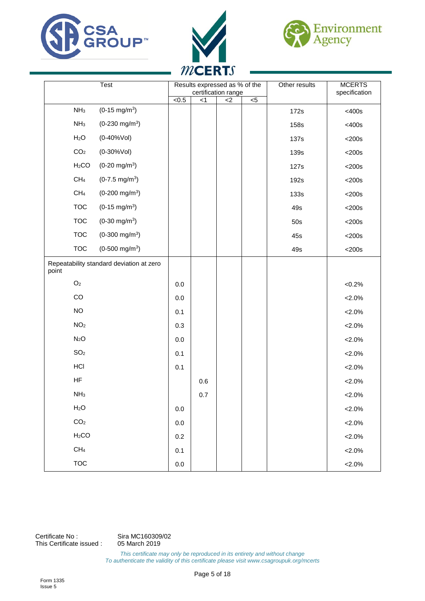





|                   | Test                                     |              | Results expressed as % of the<br>certification range |     |                | Other results | <b>MCERTS</b><br>specification |
|-------------------|------------------------------------------|--------------|------------------------------------------------------|-----|----------------|---------------|--------------------------------|
|                   |                                          | $\sqrt{0.5}$ | < 1                                                  | $2$ | $\overline{5}$ |               |                                |
| NH <sub>3</sub>   | $(0-15 \text{ mg/m}^3)$                  |              |                                                      |     |                | 172s          | <400s                          |
| NH <sub>3</sub>   | $(0-230 \text{ mg/m}^3)$                 |              |                                                      |     |                | <b>158s</b>   | <400s                          |
| H <sub>2</sub> O  | $(0-40%$ Vol)                            |              |                                                      |     |                | 137s          | $<$ 200s                       |
| CO <sub>2</sub>   | $(0-30%Vol)$                             |              |                                                      |     |                | 139s          | $<$ 200s                       |
| H <sub>2</sub> CO | $(0-20 \text{ mg/m}^3)$                  |              |                                                      |     |                | 127s          | $<$ 200s                       |
| CH <sub>4</sub>   | $(0-7.5 \text{ mg/m}^3)$                 |              |                                                      |     |                | 192s          | $<$ 200s                       |
| CH <sub>4</sub>   | $(0-200 \text{ mg/m}^3)$                 |              |                                                      |     |                | 133s          | $<$ 200s                       |
| <b>TOC</b>        | $(0-15 \text{ mg/m}^3)$                  |              |                                                      |     |                | 49s           | $<$ 200s                       |
| <b>TOC</b>        | $(0-30 \text{ mg/m}^3)$                  |              |                                                      |     |                | 50s           | $<$ 200s                       |
| <b>TOC</b>        | $(0-300 \text{ mg/m}^3)$                 |              |                                                      |     |                | 45s           | $<$ 200s                       |
| <b>TOC</b>        | $(0-500$ mg/m <sup>3</sup> )             |              |                                                      |     |                | 49s           | $<$ 200s                       |
| point             | Repeatability standard deviation at zero |              |                                                      |     |                |               |                                |
| $\mathsf{O}_2$    |                                          | 0.0          |                                                      |     |                |               | $<0.2\%$                       |
| CO                |                                          | 0.0          |                                                      |     |                |               | $< 2.0\%$                      |
| <b>NO</b>         |                                          | 0.1          |                                                      |     |                |               | $< 2.0\%$                      |
| NO <sub>2</sub>   |                                          | 0.3          |                                                      |     |                |               | $< 2.0\%$                      |
| N <sub>2</sub> O  |                                          | $0.0\,$      |                                                      |     |                |               | $<2.0\%$                       |
| SO <sub>2</sub>   |                                          | 0.1          |                                                      |     |                |               | $< 2.0\%$                      |
| HCI               |                                          | 0.1          |                                                      |     |                |               | $<2.0\%$                       |
| HF                |                                          |              | 0.6                                                  |     |                |               | $< 2.0\%$                      |
| NH <sub>3</sub>   |                                          |              | 0.7                                                  |     |                |               | $<2.0\%$                       |
| H <sub>2</sub> O  |                                          | $0.0\,$      |                                                      |     |                |               | $< 2.0\%$                      |
| CO <sub>2</sub>   |                                          | $0.0\,$      |                                                      |     |                |               | $< 2.0\%$                      |
| H <sub>2</sub> CO |                                          | $0.2\,$      |                                                      |     |                |               | $< 2.0\%$                      |
| CH <sub>4</sub>   |                                          | 0.1          |                                                      |     |                |               | $< 2.0\%$                      |
| <b>TOC</b>        |                                          | $0.0\,$      |                                                      |     |                |               | $<2.0\%$                       |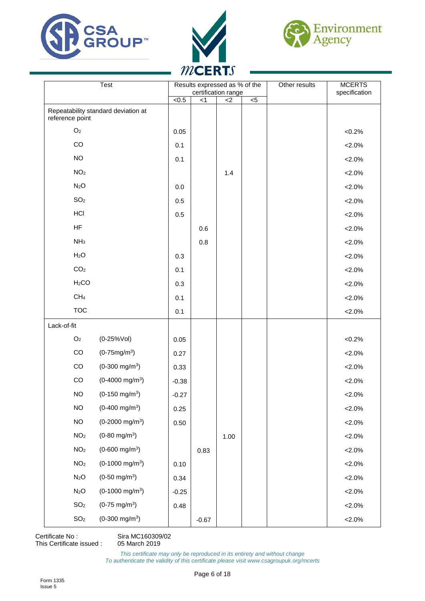





|                   | Test                                | Results expressed as % of the<br>certification range |         | Other results | <b>MCERTS</b><br>specification |  |           |
|-------------------|-------------------------------------|------------------------------------------------------|---------|---------------|--------------------------------|--|-----------|
|                   |                                     | $\sqrt{6.5}$                                         | < 1     | $<$ 2         | $\overline{5}$                 |  |           |
| reference point   | Repeatability standard deviation at |                                                      |         |               |                                |  |           |
| O <sub>2</sub>    |                                     | 0.05                                                 |         |               |                                |  | $<0.2\%$  |
| CO                |                                     | 0.1                                                  |         |               |                                |  | $< 2.0\%$ |
| <b>NO</b>         |                                     | 0.1                                                  |         |               |                                |  | $< 2.0\%$ |
| NO <sub>2</sub>   |                                     |                                                      |         | 1.4           |                                |  | $< 2.0\%$ |
| N <sub>2</sub> O  |                                     | 0.0                                                  |         |               |                                |  | $< 2.0\%$ |
| SO <sub>2</sub>   |                                     | 0.5                                                  |         |               |                                |  | $< 2.0\%$ |
| HCI               |                                     | 0.5                                                  |         |               |                                |  | $< 2.0\%$ |
| HF                |                                     |                                                      | 0.6     |               |                                |  | $< 2.0\%$ |
| NH <sub>3</sub>   |                                     |                                                      | 0.8     |               |                                |  | $< 2.0\%$ |
| H <sub>2</sub> O  |                                     | 0.3                                                  |         |               |                                |  | $< 2.0\%$ |
| CO <sub>2</sub>   |                                     | 0.1                                                  |         |               |                                |  | $< 2.0\%$ |
| H <sub>2</sub> CO |                                     | 0.3                                                  |         |               |                                |  | $< 2.0\%$ |
| CH <sub>4</sub>   |                                     | 0.1                                                  |         |               |                                |  | $< 2.0\%$ |
| <b>TOC</b>        |                                     | 0.1                                                  |         |               |                                |  | $< 2.0\%$ |
| Lack-of-fit       |                                     |                                                      |         |               |                                |  |           |
| $\mathsf{O}_2$    | $(0-25%Vol)$                        | 0.05                                                 |         |               |                                |  | $<0.2\%$  |
| $_{\rm CO}$       | $(0-75mg/m^3)$                      | 0.27                                                 |         |               |                                |  | $< 2.0\%$ |
| CO                | $(0-300 \text{ mg/m}^3)$            | 0.33                                                 |         |               |                                |  | $2.0\%$   |
| CO                | $(0-4000 \text{ mg/m}^3)$           | $-0.38$                                              |         |               |                                |  | $< 2.0\%$ |
| <b>NO</b>         | $(0-150 \text{ mg/m}^3)$            | $-0.27$                                              |         |               |                                |  | $< 2.0\%$ |
| <b>NO</b>         | $(0-400 \text{ mg/m}^3)$            | 0.25                                                 |         |               |                                |  | $< 2.0\%$ |
| $NO$              | $(0-2000 \text{ mg/m}^3)$           | 0.50                                                 |         |               |                                |  | $< 2.0\%$ |
| NO <sub>2</sub>   | $(0-80$ mg/m <sup>3</sup> )         |                                                      |         | 1.00          |                                |  | $< 2.0\%$ |
| NO <sub>2</sub>   | $(0-600 \text{ mg/m}^3)$            |                                                      | 0.83    |               |                                |  | $< 2.0\%$ |
| NO <sub>2</sub>   | $(0-1000 \text{ mg/m}^3)$           | 0.10                                                 |         |               |                                |  | $< 2.0\%$ |
| N <sub>2</sub> O  | $(0-50 \text{ mg/m}^3)$             | 0.34                                                 |         |               |                                |  | $< 2.0\%$ |
| N <sub>2</sub> O  | $(0-1000 \text{ mg/m}^3)$           | $-0.25$                                              |         |               |                                |  | $< 2.0\%$ |
| SO <sub>2</sub>   | $(0-75 \text{ mg/m}^3)$             | 0.48                                                 |         |               |                                |  | $< 2.0\%$ |
| SO <sub>2</sub>   | $(0-300 \text{ mg/m}^3)$            |                                                      | $-0.67$ |               |                                |  | $< 2.0\%$ |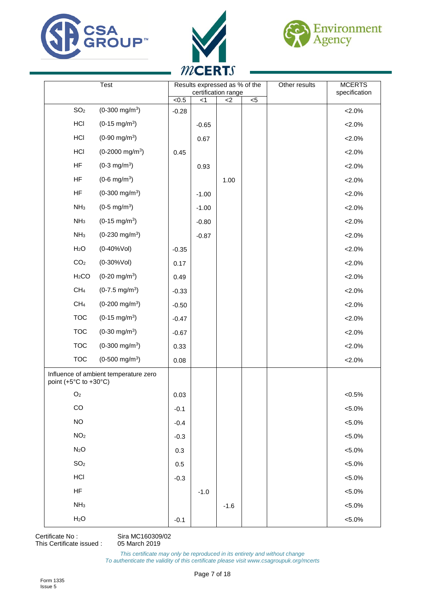





|                                           | Test                                  |              |         | Results expressed as % of the<br>certification range |     | Other results | <b>MCERTS</b><br>specification |
|-------------------------------------------|---------------------------------------|--------------|---------|------------------------------------------------------|-----|---------------|--------------------------------|
|                                           |                                       | $\sqrt{0.5}$ | $<$ 1   | $<$ 2                                                | $5$ |               |                                |
| SO <sub>2</sub>                           | $(0-300 \text{ mg/m}^3)$              | $-0.28$      |         |                                                      |     |               | $< 2.0\%$                      |
| HCI                                       | $(0-15 \text{ mg/m}^3)$               |              | $-0.65$ |                                                      |     |               | $<2.0\%$                       |
| HCI                                       | $(0-90 \text{ mg/m}^3)$               |              | 0.67    |                                                      |     |               | $<2.0\%$                       |
| HCI                                       | $(0-2000 \text{ mg/m}^3)$             | 0.45         |         |                                                      |     |               | $2.0\%$                        |
| HF                                        | $(0-3$ mg/m <sup>3</sup> )            |              | 0.93    |                                                      |     |               | $2.0\%$                        |
| HF                                        | $(0-6$ mg/m <sup>3</sup> )            |              |         | 1.00                                                 |     |               | $<2.0\%$                       |
| HF                                        | $(0-300 \text{ mg/m}^3)$              |              | $-1.00$ |                                                      |     |               | $<2.0\%$                       |
| NH <sub>3</sub>                           | $(0-5 \text{ mg/m}^3)$                |              | $-1.00$ |                                                      |     |               | $2.0\%$                        |
| NH <sub>3</sub>                           | $(0-15 \text{ mg/m}^3)$               |              | $-0.80$ |                                                      |     |               | $2.0\%$                        |
| NH <sub>3</sub>                           | $(0-230 \text{ mg/m}^3)$              |              | $-0.87$ |                                                      |     |               | $2.0\%$                        |
| H <sub>2</sub> O                          | $(0-40%$ Vol)                         | $-0.35$      |         |                                                      |     |               | $2.0\%$                        |
| CO <sub>2</sub>                           | $(0-30%Vol)$                          | 0.17         |         |                                                      |     |               | $2.0\%$                        |
| H <sub>2</sub> CO                         | $(0-20 \text{ mg/m}^3)$               | 0.49         |         |                                                      |     |               | $2.0\%$                        |
| CH <sub>4</sub>                           | $(0-7.5 \text{ mg/m}^3)$              | $-0.33$      |         |                                                      |     |               | $< 2.0\%$                      |
| CH <sub>4</sub>                           | $(0-200 \text{ mg/m}^3)$              | $-0.50$      |         |                                                      |     |               | $<2.0\%$                       |
| <b>TOC</b>                                | $(0-15 \text{ mg/m}^3)$               | $-0.47$      |         |                                                      |     |               | $2.0\%$                        |
| <b>TOC</b>                                | $(0-30 \text{ mg/m}^3)$               | $-0.67$      |         |                                                      |     |               | $2.0\%$                        |
| <b>TOC</b>                                | $(0-300 \text{ mg/m}^3)$              | 0.33         |         |                                                      |     |               | $2.0\%$                        |
| <b>TOC</b>                                | $(0-500 \text{ mg/m}^3)$              | 0.08         |         |                                                      |     |               | $<2.0\%$                       |
| point $(+5^{\circ}$ C to $+30^{\circ}$ C) | Influence of ambient temperature zero |              |         |                                                      |     |               |                                |
| O <sub>2</sub>                            |                                       | 0.03         |         |                                                      |     |               | $<0.5\%$                       |
| CO                                        |                                       | $-0.1$       |         |                                                      |     |               | $< 5.0\%$                      |
| $NO$                                      |                                       | $-0.4$       |         |                                                      |     |               | $< 5.0\%$                      |
| NO <sub>2</sub>                           |                                       | $-0.3$       |         |                                                      |     |               | $< 5.0\%$                      |
| N <sub>2</sub> O                          |                                       | 0.3          |         |                                                      |     |               | $< 5.0\%$                      |
| SO <sub>2</sub>                           |                                       | $0.5\,$      |         |                                                      |     |               | $< 5.0\%$                      |
| HCI                                       |                                       | $-0.3$       |         |                                                      |     |               | $< 5.0\%$                      |
| HF                                        |                                       |              | $-1.0$  |                                                      |     |               | $< 5.0\%$                      |
| NH <sub>3</sub>                           |                                       |              |         | $-1.6$                                               |     |               | $< 5.0\%$                      |
| H <sub>2</sub> O                          |                                       | $-0.1$       |         |                                                      |     |               | $< 5.0\%$                      |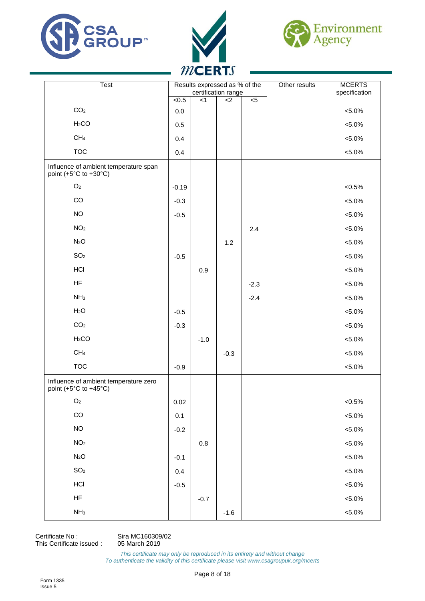





| Test                                                                                 |              | Results expressed as % of the<br>certification range |        |                | Other results | <b>MCERTS</b><br>specification |
|--------------------------------------------------------------------------------------|--------------|------------------------------------------------------|--------|----------------|---------------|--------------------------------|
|                                                                                      | $\sqrt{6.5}$ | < 1                                                  | $<$ 2  | $\overline{5}$ |               |                                |
| CO <sub>2</sub>                                                                      | 0.0          |                                                      |        |                |               | $< 5.0\%$                      |
| H <sub>2</sub> CO                                                                    | $0.5\,$      |                                                      |        |                |               | $< 5.0\%$                      |
| CH <sub>4</sub>                                                                      | 0.4          |                                                      |        |                |               | $< 5.0\%$                      |
| <b>TOC</b>                                                                           | 0.4          |                                                      |        |                |               | $< 5.0\%$                      |
| Influence of ambient temperature span<br>point (+5 $\degree$ C to +30 $\degree$ C)   |              |                                                      |        |                |               |                                |
| O <sub>2</sub>                                                                       | $-0.19$      |                                                      |        |                |               | $< 0.5\%$                      |
| CO                                                                                   | $-0.3$       |                                                      |        |                |               | $< 5.0\%$                      |
| <b>NO</b>                                                                            | $-0.5$       |                                                      |        |                |               | $< 5.0\%$                      |
| NO <sub>2</sub>                                                                      |              |                                                      |        | 2.4            |               | $< 5.0\%$                      |
| N <sub>2</sub> O                                                                     |              |                                                      | 1.2    |                |               | $< 5.0\%$                      |
| SO <sub>2</sub>                                                                      | $-0.5$       |                                                      |        |                |               | $< 5.0\%$                      |
| <b>HCI</b>                                                                           |              | 0.9                                                  |        |                |               | $< 5.0\%$                      |
| HF                                                                                   |              |                                                      |        | $-2.3$         |               | $< 5.0\%$                      |
| NH <sub>3</sub>                                                                      |              |                                                      |        | $-2.4$         |               | $< 5.0\%$                      |
| H <sub>2</sub> O                                                                     | $-0.5$       |                                                      |        |                |               | $< 5.0\%$                      |
| CO <sub>2</sub>                                                                      | $-0.3$       |                                                      |        |                |               | $< 5.0\%$                      |
| H <sub>2</sub> CO                                                                    |              | $-1.0$                                               |        |                |               | $< 5.0\%$                      |
| CH <sub>4</sub>                                                                      |              |                                                      | $-0.3$ |                |               | $< 5.0\%$                      |
| <b>TOC</b>                                                                           | $-0.9$       |                                                      |        |                |               | $< 5.0\%$                      |
| Influence of ambient temperature zero<br>point (+5 $^{\circ}$ C to +45 $^{\circ}$ C) |              |                                                      |        |                |               |                                |
| $\mathsf{O}_2$                                                                       | 0.02         |                                                      |        |                |               | $< 0.5\%$                      |
| $_{\rm CO}$                                                                          | 0.1          |                                                      |        |                |               | $< 5.0\%$                      |
| $NO$                                                                                 | $-0.2$       |                                                      |        |                |               | $< 5.0\%$                      |
| NO <sub>2</sub>                                                                      |              | $0.8\,$                                              |        |                |               | $< 5.0\%$                      |
| N <sub>2</sub> O                                                                     | $-0.1$       |                                                      |        |                |               | $< 5.0\%$                      |
| SO <sub>2</sub>                                                                      | 0.4          |                                                      |        |                |               | $< 5.0\%$                      |
| HCI                                                                                  | $-0.5$       |                                                      |        |                |               | $< 5.0\%$                      |
| ${\sf HF}$                                                                           |              | $-0.7$                                               |        |                |               | $< 5.0\%$                      |
| NH <sub>3</sub>                                                                      |              |                                                      | $-1.6$ |                |               | $< 5.0\%$                      |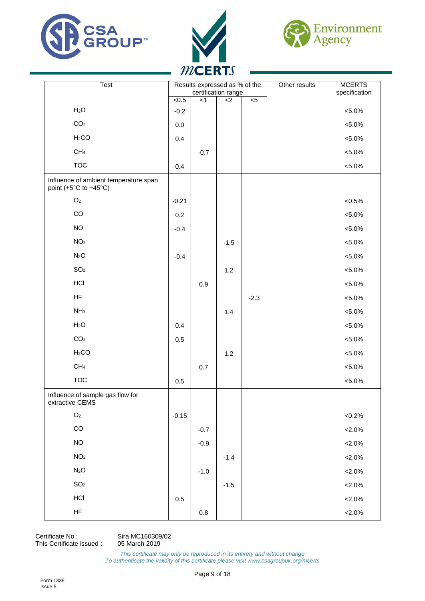





| Test                                                           |         | Results expressed as % of the | certification range |        | Other results | <b>MCERTS</b><br>specification |
|----------------------------------------------------------------|---------|-------------------------------|---------------------|--------|---------------|--------------------------------|
|                                                                | <0.5    | $<$ 1                         | $<$ 2               | $< 5$  |               |                                |
| H <sub>2</sub> O                                               | $-0.2$  |                               |                     |        |               | $< 5.0\%$                      |
| CO <sub>2</sub>                                                | $0.0\,$ |                               |                     |        |               | $< 5.0\%$                      |
| H <sub>2</sub> CO                                              | 0.4     |                               |                     |        |               | $< 5.0\%$                      |
| CH <sub>4</sub>                                                |         | $-0.7$                        |                     |        |               | $< 5.0\%$                      |
| <b>TOC</b>                                                     | 0.4     |                               |                     |        |               | $< 5.0\%$                      |
| Influence of ambient temperature span<br>point (+5°C to +45°C) |         |                               |                     |        |               |                                |
| O <sub>2</sub>                                                 | $-0.21$ |                               |                     |        |               | $< 0.5\%$                      |
| CO                                                             | 0.2     |                               |                     |        |               | $< 5.0\%$                      |
| $NO$                                                           | $-0.4$  |                               |                     |        |               | $< 5.0\%$                      |
| NO <sub>2</sub>                                                |         |                               | $-1.5$              |        |               | $< 5.0\%$                      |
| N <sub>2</sub> O                                               | $-0.4$  |                               |                     |        |               | $< 5.0\%$                      |
| SO <sub>2</sub>                                                |         |                               | 1.2                 |        |               | $< 5.0\%$                      |
| HCI                                                            |         | 0.9                           |                     |        |               | $< 5.0\%$                      |
| HF                                                             |         |                               |                     | $-2.3$ |               | $< 5.0\%$                      |
| NH <sub>3</sub>                                                |         |                               | 1.4                 |        |               | $< 5.0\%$                      |
| H <sub>2</sub> O                                               | 0.4     |                               |                     |        |               | $< 5.0\%$                      |
| CO <sub>2</sub>                                                | 0.5     |                               |                     |        |               | $< 5.0\%$                      |
| H <sub>2</sub> CO                                              |         |                               | $1.2$               |        |               | $< 5.0\%$                      |
| CH <sub>4</sub>                                                |         | 0.7                           |                     |        |               | $< 5.0\%$                      |
| <b>TOC</b>                                                     | 0.5     |                               |                     |        |               | $< 5.0\%$                      |
| Influence of sample gas flow for<br>extractive CEMS            |         |                               |                     |        |               |                                |
| $\mathsf{O}_2$                                                 | $-0.15$ |                               |                     |        |               | $< 0.2\%$                      |
| $_{\rm CO}$                                                    |         | $-0.7$                        |                     |        |               | $< 2.0\%$                      |
| $NO$                                                           |         | $-0.9$                        |                     |        |               | $< 2.0\%$                      |
| NO <sub>2</sub>                                                |         |                               | $-1.4$              |        |               | $< 2.0\%$                      |
| N <sub>2</sub> O                                               |         | $-1.0$                        |                     |        |               | $< 2.0\%$                      |
| SO <sub>2</sub>                                                |         |                               | $-1.5$              |        |               | $< 2.0\%$                      |
| HCI                                                            | $0.5\,$ |                               |                     |        |               | $< 2.0\%$                      |
| <b>HF</b>                                                      |         | $0.8\,$                       |                     |        |               | $< 2.0\%$                      |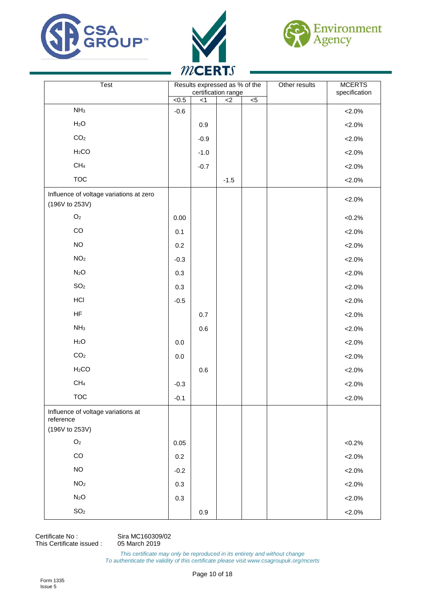





| Test                                                      |         |         | Results expressed as % of the<br>certification range |                | Other results | <b>MCERTS</b><br>specification |
|-----------------------------------------------------------|---------|---------|------------------------------------------------------|----------------|---------------|--------------------------------|
|                                                           | $5 - 5$ | < 1     | $\overline{c}$                                       | $\overline{5}$ |               |                                |
| NH <sub>3</sub>                                           | $-0.6$  |         |                                                      |                |               | $< 2.0\%$                      |
| H <sub>2</sub> O                                          |         | 0.9     |                                                      |                |               | $< 2.0\%$                      |
| CO <sub>2</sub>                                           |         | $-0.9$  |                                                      |                |               | $< 2.0\%$                      |
| H <sub>2</sub> CO                                         |         | $-1.0$  |                                                      |                |               | $< 2.0\%$                      |
| CH <sub>4</sub>                                           |         | $-0.7$  |                                                      |                |               | $< 2.0\%$                      |
| <b>TOC</b>                                                |         |         | $-1.5$                                               |                |               | $< 2.0\%$                      |
| Influence of voltage variations at zero<br>(196V to 253V) |         |         |                                                      |                |               | ${<}2.0\%$                     |
| $\mathsf{O}_2$                                            | 0.00    |         |                                                      |                |               | $<0.2\%$                       |
| CO                                                        | 0.1     |         |                                                      |                |               | $< 2.0\%$                      |
| $NO$                                                      | 0.2     |         |                                                      |                |               | $< 2.0\%$                      |
| NO <sub>2</sub>                                           | $-0.3$  |         |                                                      |                |               | $< 2.0\%$                      |
| N <sub>2</sub> O                                          | 0.3     |         |                                                      |                |               | $< 2.0\%$                      |
| SO <sub>2</sub>                                           | 0.3     |         |                                                      |                |               | $< 2.0\%$                      |
| HCI                                                       | $-0.5$  |         |                                                      |                |               | $< 2.0\%$                      |
| <b>HF</b>                                                 |         | $0.7\,$ |                                                      |                |               | $< 2.0\%$                      |
| NH <sub>3</sub>                                           |         | 0.6     |                                                      |                |               | $< 2.0\%$                      |
| H <sub>2</sub> O                                          | $0.0\,$ |         |                                                      |                |               | $< 2.0\%$                      |
| CO <sub>2</sub>                                           | $0.0\,$ |         |                                                      |                |               | $< 2.0\%$                      |
| H <sub>2</sub> CO                                         |         | $0.6\,$ |                                                      |                |               | $< 2.0\%$                      |
| CH <sub>4</sub>                                           | $-0.3$  |         |                                                      |                |               | $< 2.0\%$                      |
| <b>TOC</b>                                                | $-0.1$  |         |                                                      |                |               | $2.0\%$                        |
| Influence of voltage variations at<br>reference           |         |         |                                                      |                |               |                                |
| (196V to 253V)                                            |         |         |                                                      |                |               |                                |
| $\mathsf{O}_2$                                            | 0.05    |         |                                                      |                |               | $<0.2\%$                       |
| CO                                                        | $0.2\,$ |         |                                                      |                |               | $< 2.0\%$                      |
| $NO$                                                      | $-0.2$  |         |                                                      |                |               | $< 2.0\%$                      |
| NO <sub>2</sub>                                           | 0.3     |         |                                                      |                |               | $< 2.0\%$                      |
| N <sub>2</sub> O                                          | 0.3     |         |                                                      |                |               | $< 2.0\%$                      |
| SO <sub>2</sub>                                           |         | 0.9     |                                                      |                |               | $< 2.0\%$                      |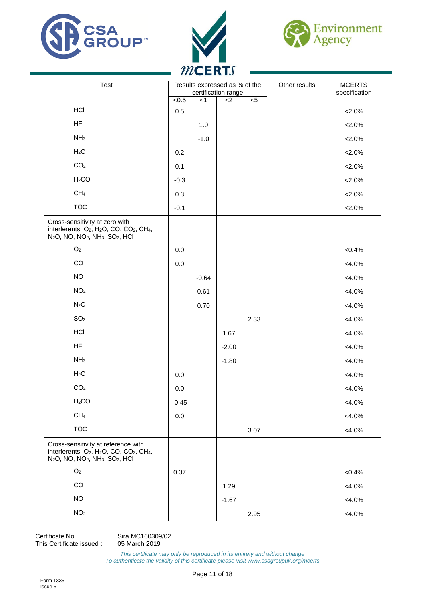





| Test                                                                                                                                                                                                               |              | Results expressed as % of the<br>certification range |         |                | Other results | <b>MCERTS</b><br>specification |
|--------------------------------------------------------------------------------------------------------------------------------------------------------------------------------------------------------------------|--------------|------------------------------------------------------|---------|----------------|---------------|--------------------------------|
|                                                                                                                                                                                                                    | $\sqrt{6.5}$ | $<$ 1                                                | $<$ 2   | $\overline{c}$ |               |                                |
| HCI                                                                                                                                                                                                                | 0.5          |                                                      |         |                |               | $< 2.0\%$                      |
| HF                                                                                                                                                                                                                 |              | $1.0$                                                |         |                |               | $< 2.0\%$                      |
| NH <sub>3</sub>                                                                                                                                                                                                    |              | $-1.0$                                               |         |                |               | $< 2.0\%$                      |
| H <sub>2</sub> O                                                                                                                                                                                                   | 0.2          |                                                      |         |                |               | $< 2.0\%$                      |
| CO <sub>2</sub>                                                                                                                                                                                                    | 0.1          |                                                      |         |                |               | $< 2.0\%$                      |
| H <sub>2</sub> CO                                                                                                                                                                                                  | $-0.3$       |                                                      |         |                |               | $< 2.0\%$                      |
| CH <sub>4</sub>                                                                                                                                                                                                    | 0.3          |                                                      |         |                |               | $< 2.0\%$                      |
| <b>TOC</b>                                                                                                                                                                                                         | $-0.1$       |                                                      |         |                |               | $< 2.0\%$                      |
| Cross-sensitivity at zero with<br>interferents: O <sub>2</sub> , H <sub>2</sub> O, CO, CO <sub>2</sub> , CH <sub>4</sub> ,<br>N <sub>2</sub> O, NO, NO <sub>2</sub> , NH <sub>3</sub> , SO <sub>2</sub> , HCl      |              |                                                      |         |                |               |                                |
| $\mathsf{O}_2$                                                                                                                                                                                                     | 0.0          |                                                      |         |                |               | $< 0.4\%$                      |
| $_{\rm CO}$                                                                                                                                                                                                        | $0.0\,$      |                                                      |         |                |               | $<4.0\%$                       |
| <b>NO</b>                                                                                                                                                                                                          |              | $-0.64$                                              |         |                |               | $<4.0\%$                       |
| NO <sub>2</sub>                                                                                                                                                                                                    |              | 0.61                                                 |         |                |               | $<4.0\%$                       |
| N <sub>2</sub> O                                                                                                                                                                                                   |              | 0.70                                                 |         |                |               | $<4.0\%$                       |
| SO <sub>2</sub>                                                                                                                                                                                                    |              |                                                      |         | 2.33           |               | $<4.0\%$                       |
| <b>HCI</b>                                                                                                                                                                                                         |              |                                                      | 1.67    |                |               | $<4.0\%$                       |
| HF                                                                                                                                                                                                                 |              |                                                      | $-2.00$ |                |               | $<4.0\%$                       |
| NH <sub>3</sub>                                                                                                                                                                                                    |              |                                                      | $-1.80$ |                |               | $<4.0\%$                       |
| H <sub>2</sub> O                                                                                                                                                                                                   | 0.0          |                                                      |         |                |               | $<4.0\%$                       |
| CO <sub>2</sub>                                                                                                                                                                                                    | $0.0\,$      |                                                      |         |                |               | $<4.0\%$                       |
| H <sub>2</sub> CO                                                                                                                                                                                                  | $-0.45$      |                                                      |         |                |               | $<4.0\%$                       |
| CH <sub>4</sub>                                                                                                                                                                                                    | 0.0          |                                                      |         |                |               | $<4.0\%$                       |
| <b>TOC</b>                                                                                                                                                                                                         |              |                                                      |         | 3.07           |               | $<4.0\%$                       |
| Cross-sensitivity at reference with<br>interferents: O <sub>2</sub> , H <sub>2</sub> O, CO, CO <sub>2</sub> , CH <sub>4</sub> ,<br>N <sub>2</sub> O, NO, NO <sub>2</sub> , NH <sub>3</sub> , SO <sub>2</sub> , HCI |              |                                                      |         |                |               |                                |
| $\mathsf{O}_2$                                                                                                                                                                                                     | 0.37         |                                                      |         |                |               | $< 0.4\%$                      |
| CO                                                                                                                                                                                                                 |              |                                                      | 1.29    |                |               | $<4.0\%$                       |
| <b>NO</b>                                                                                                                                                                                                          |              |                                                      | $-1.67$ |                |               | $<4.0\%$                       |
| NO <sub>2</sub>                                                                                                                                                                                                    |              |                                                      |         | 2.95           |               | $<4.0\%$                       |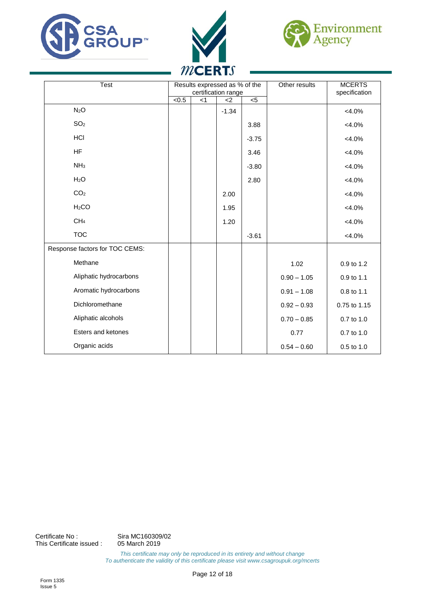





| <b>Test</b>                    |       | Results expressed as % of the<br>certification range |         |         | Other results | <b>MCERTS</b><br>specification |
|--------------------------------|-------|------------------------------------------------------|---------|---------|---------------|--------------------------------|
|                                | < 0.5 | < 1                                                  | $<$ 2   | $5$     |               |                                |
| N <sub>2</sub> O               |       |                                                      | $-1.34$ |         |               | $<4.0\%$                       |
| SO <sub>2</sub>                |       |                                                      |         | 3.88    |               | $<4.0\%$                       |
| <b>HCI</b>                     |       |                                                      |         | $-3.75$ |               | $< 4.0\%$                      |
| <b>HF</b>                      |       |                                                      |         | 3.46    |               | $<4.0\%$                       |
| NH <sub>3</sub>                |       |                                                      |         | $-3.80$ |               | $<4.0\%$                       |
| H <sub>2</sub> O               |       |                                                      |         | 2.80    |               | $<4.0\%$                       |
| CO <sub>2</sub>                |       |                                                      | 2.00    |         |               | $< 4.0\%$                      |
| H <sub>2</sub> CO              |       |                                                      | 1.95    |         |               | $<4.0\%$                       |
| CH <sub>4</sub>                |       |                                                      | 1.20    |         |               | $<4.0\%$                       |
| <b>TOC</b>                     |       |                                                      |         | $-3.61$ |               | $<4.0\%$                       |
| Response factors for TOC CEMS: |       |                                                      |         |         |               |                                |
| Methane                        |       |                                                      |         |         | 1.02          | 0.9 to 1.2                     |
| Aliphatic hydrocarbons         |       |                                                      |         |         | $0.90 - 1.05$ | 0.9 to 1.1                     |
| Aromatic hydrocarbons          |       |                                                      |         |         | $0.91 - 1.08$ | 0.8 to 1.1                     |
| Dichloromethane                |       |                                                      |         |         | $0.92 - 0.93$ | 0.75 to 1.15                   |
| Aliphatic alcohols             |       |                                                      |         |         | $0.70 - 0.85$ | 0.7 to 1.0                     |
| Esters and ketones             |       |                                                      |         |         | 0.77          | 0.7 to 1.0                     |
| Organic acids                  |       |                                                      |         |         | $0.54 - 0.60$ | 0.5 to 1.0                     |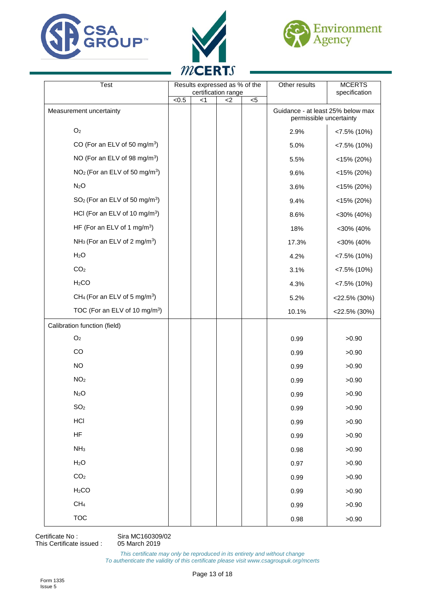





| <b>Test</b>                                           | Results expressed as % of the<br>certification range |       | Other results                                                | <b>MCERTS</b><br>specification |       |                 |
|-------------------------------------------------------|------------------------------------------------------|-------|--------------------------------------------------------------|--------------------------------|-------|-----------------|
|                                                       | < 0.5                                                | $<$ 1 | $<$ 2                                                        | $< 5$                          |       |                 |
| Measurement uncertainty                               |                                                      |       | Guidance - at least 25% below max<br>permissible uncertainty |                                |       |                 |
| O <sub>2</sub>                                        |                                                      |       |                                                              |                                | 2.9%  | $< 7.5\%$ (10%) |
| CO (For an ELV of 50 mg/m <sup>3</sup> )              |                                                      |       |                                                              |                                | 5.0%  | $< 7.5\%$ (10%) |
| NO (For an ELV of 98 mg/m <sup>3</sup> )              |                                                      |       |                                                              |                                | 5.5%  | $<$ 15% (20%)   |
| NO <sub>2</sub> (For an ELV of 50 mg/m <sup>3</sup> ) |                                                      |       |                                                              |                                | 9.6%  | $<$ 15% (20%)   |
| N <sub>2</sub> O                                      |                                                      |       |                                                              |                                | 3.6%  | $<$ 15% (20%)   |
| $SO2$ (For an ELV of 50 mg/m <sup>3</sup> )           |                                                      |       |                                                              |                                | 9.4%  | $<$ 15% (20%)   |
| HCI (For an ELV of 10 mg/m <sup>3</sup> )             |                                                      |       |                                                              |                                | 8.6%  | $<$ 30% (40%)   |
| HF (For an ELV of 1 mg/m <sup>3</sup> )               |                                                      |       |                                                              |                                | 18%   | <30% (40%       |
| NH <sub>3</sub> (For an ELV of 2 mg/m <sup>3</sup> )  |                                                      |       |                                                              |                                | 17.3% | <30% (40%       |
| H <sub>2</sub> O                                      |                                                      |       |                                                              |                                | 4.2%  | $< 7.5\%$ (10%) |
| CO <sub>2</sub>                                       |                                                      |       |                                                              |                                | 3.1%  | $< 7.5\%$ (10%) |
| H <sub>2</sub> CO                                     |                                                      |       |                                                              |                                | 4.3%  | $< 7.5\%$ (10%) |
| CH <sub>4</sub> (For an ELV of 5 mg/m <sup>3</sup> )  |                                                      |       |                                                              |                                | 5.2%  | $<$ 22.5% (30%) |
| TOC (For an ELV of 10 mg/m <sup>3</sup> )             |                                                      |       |                                                              |                                | 10.1% | $<$ 22.5% (30%) |
| Calibration function (field)                          |                                                      |       |                                                              |                                |       |                 |
| O <sub>2</sub>                                        |                                                      |       |                                                              |                                | 0.99  | >0.90           |
| CO                                                    |                                                      |       |                                                              |                                | 0.99  | >0.90           |
| <b>NO</b>                                             |                                                      |       |                                                              |                                | 0.99  | >0.90           |
| NO <sub>2</sub>                                       |                                                      |       |                                                              |                                | 0.99  | >0.90           |
| N <sub>2</sub> O                                      |                                                      |       |                                                              |                                | 0.99  | >0.90           |
| SO <sub>2</sub>                                       |                                                      |       |                                                              |                                | 0.99  | >0.90           |
| <b>HCI</b>                                            |                                                      |       |                                                              |                                | 0.99  | >0.90           |
| <b>HF</b>                                             |                                                      |       |                                                              |                                | 0.99  | >0.90           |
| NH <sub>3</sub>                                       |                                                      |       |                                                              |                                | 0.98  | >0.90           |
| H <sub>2</sub> O                                      |                                                      |       |                                                              |                                | 0.97  | >0.90           |
| CO <sub>2</sub>                                       |                                                      |       |                                                              |                                | 0.99  | >0.90           |
| H <sub>2</sub> CO                                     |                                                      |       |                                                              |                                | 0.99  | >0.90           |
| CH <sub>4</sub>                                       |                                                      |       |                                                              |                                | 0.99  | >0.90           |
| <b>TOC</b>                                            |                                                      |       |                                                              |                                | 0.98  | >0.90           |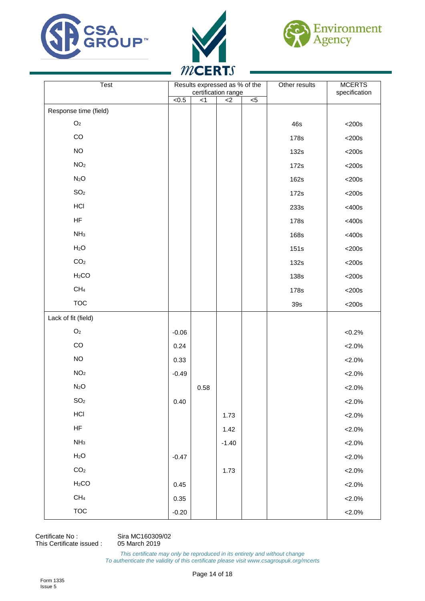





| Test                  |         |      | Results expressed as % of the<br>certification range |                | Other results | <b>MCERTS</b> |
|-----------------------|---------|------|------------------------------------------------------|----------------|---------------|---------------|
|                       | <0.5    | $<1$ | $<$ 2                                                | $\overline{5}$ |               | specification |
| Response time (field) |         |      |                                                      |                |               |               |
| $\mathsf{O}_2$        |         |      |                                                      |                | 46s           | $<$ 200s      |
| $_{\rm CO}$           |         |      |                                                      |                | 178s          | $<$ 200s      |
| <b>NO</b>             |         |      |                                                      |                | 132s          | $<$ 200s      |
| NO <sub>2</sub>       |         |      |                                                      |                | 172s          | $<$ 200s      |
| N <sub>2</sub> O      |         |      |                                                      |                | 162s          | $<$ 200s      |
| SO <sub>2</sub>       |         |      |                                                      |                | 172s          | $<$ 200s      |
| HCI                   |         |      |                                                      |                | 233s          | <400s         |
| HF                    |         |      |                                                      |                | 178s          | <400s         |
| NH <sub>3</sub>       |         |      |                                                      |                | 168s          | <400s         |
| H <sub>2</sub> O      |         |      |                                                      |                | 151s          | $<$ 200s      |
| CO <sub>2</sub>       |         |      |                                                      |                | 132s          | $<$ 200s      |
| H <sub>2</sub> CO     |         |      |                                                      |                | <b>138s</b>   | $<$ 200s      |
| CH <sub>4</sub>       |         |      |                                                      |                | 178s          | $<$ 200s      |
| <b>TOC</b>            |         |      |                                                      |                | 39s           | $<$ 200s      |
| Lack of fit (field)   |         |      |                                                      |                |               |               |
| $\mathsf{O}_2$        | $-0.06$ |      |                                                      |                |               | ${<}0.2\%$    |
| $_{\rm CO}$           | 0.24    |      |                                                      |                |               | $< 2.0\%$     |
| $NO$                  | 0.33    |      |                                                      |                |               | $< 2.0\%$     |
| NO <sub>2</sub>       | $-0.49$ |      |                                                      |                |               | $< 2.0\%$     |
| N <sub>2</sub> O      |         | 0.58 |                                                      |                |               | $< 2.0\%$     |
| SO <sub>2</sub>       | 0.40    |      |                                                      |                |               | $< 2.0\%$     |
| $\sf HCl$             |         |      | 1.73                                                 |                |               | $< 2.0\%$     |
| $\mathsf{HF}$         |         |      | 1.42                                                 |                |               | $< 2.0\%$     |
| NH <sub>3</sub>       |         |      | $-1.40$                                              |                |               | $< 2.0\%$     |
| H <sub>2</sub> O      | $-0.47$ |      |                                                      |                |               | $< 2.0\%$     |
| CO <sub>2</sub>       |         |      | 1.73                                                 |                |               | $< 2.0\%$     |
| H <sub>2</sub> CO     | 0.45    |      |                                                      |                |               | $< 2.0\%$     |
| $\mathsf{CH}_4$       | 0.35    |      |                                                      |                |               | $< 2.0\%$     |
| <b>TOC</b>            | $-0.20$ |      |                                                      |                |               | $< 2.0\%$     |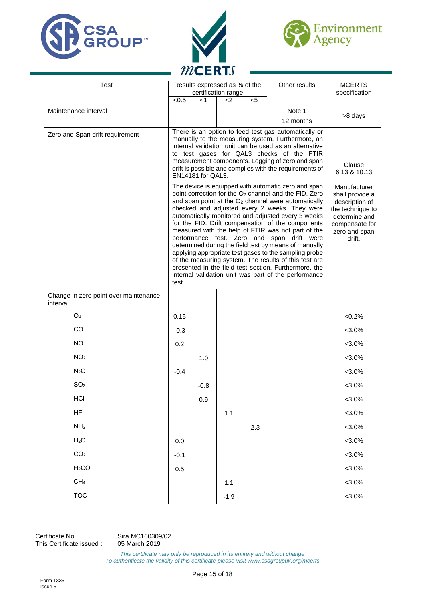





| <b>Test</b>                                       |              | Other results<br>Results expressed as % of the<br>certification range                                                                                                                                                                                                                                                                                                                                                                                                                                                                                                                                                                                                                                                                         |                                                                                                                                     |        |           | <b>MCERTS</b><br>specification |
|---------------------------------------------------|--------------|-----------------------------------------------------------------------------------------------------------------------------------------------------------------------------------------------------------------------------------------------------------------------------------------------------------------------------------------------------------------------------------------------------------------------------------------------------------------------------------------------------------------------------------------------------------------------------------------------------------------------------------------------------------------------------------------------------------------------------------------------|-------------------------------------------------------------------------------------------------------------------------------------|--------|-----------|--------------------------------|
|                                                   | $\sqrt{6.5}$ | <1                                                                                                                                                                                                                                                                                                                                                                                                                                                                                                                                                                                                                                                                                                                                            | <2                                                                                                                                  | $<$ 5  |           |                                |
| Maintenance interval                              |              |                                                                                                                                                                                                                                                                                                                                                                                                                                                                                                                                                                                                                                                                                                                                               |                                                                                                                                     |        | Note 1    | >8 days                        |
|                                                   |              |                                                                                                                                                                                                                                                                                                                                                                                                                                                                                                                                                                                                                                                                                                                                               |                                                                                                                                     |        | 12 months |                                |
| Zero and Span drift requirement                   |              | There is an option to feed test gas automatically or<br>manually to the measuring system. Furthermore, an<br>internal validation unit can be used as an alternative<br>to test gases for QAL3 checks of the FTIR<br>measurement components. Logging of zero and span<br>drift is possible and complies with the requirements of<br>EN14181 for QAL3.                                                                                                                                                                                                                                                                                                                                                                                          | Clause<br>6.13 & 10.13                                                                                                              |        |           |                                |
|                                                   | test.        | The device is equipped with automatic zero and span<br>point correction for the O <sub>2</sub> channel and the FID. Zero<br>and span point at the $O2$ channel were automatically<br>checked and adjusted every 2 weeks. They were<br>automatically monitored and adjusted every 3 weeks<br>for the FID. Drift compensation of the components<br>measured with the help of FTIR was not part of the<br>performance test. Zero and span drift were<br>determined during the field test by means of manually<br>applying appropriate test gases to the sampling probe<br>of the measuring system. The results of this test are<br>presented in the field test section. Furthermore, the<br>internal validation unit was part of the performance | Manufacturer<br>shall provide a<br>description of<br>the technique to<br>determine and<br>compensate for<br>zero and span<br>drift. |        |           |                                |
| Change in zero point over maintenance<br>interval |              |                                                                                                                                                                                                                                                                                                                                                                                                                                                                                                                                                                                                                                                                                                                                               |                                                                                                                                     |        |           |                                |
| O <sub>2</sub>                                    | 0.15         |                                                                                                                                                                                                                                                                                                                                                                                                                                                                                                                                                                                                                                                                                                                                               |                                                                                                                                     |        |           | $<0.2\%$                       |
| CO                                                | $-0.3$       |                                                                                                                                                                                                                                                                                                                                                                                                                                                                                                                                                                                                                                                                                                                                               |                                                                                                                                     |        |           | $< 3.0\%$                      |
| <b>NO</b>                                         | 0.2          |                                                                                                                                                                                                                                                                                                                                                                                                                                                                                                                                                                                                                                                                                                                                               |                                                                                                                                     |        |           | $< 3.0\%$                      |
| NO <sub>2</sub>                                   |              | 1.0                                                                                                                                                                                                                                                                                                                                                                                                                                                                                                                                                                                                                                                                                                                                           |                                                                                                                                     |        |           | $< 3.0\%$                      |
| N <sub>2</sub> O                                  | $-0.4$       |                                                                                                                                                                                                                                                                                                                                                                                                                                                                                                                                                                                                                                                                                                                                               |                                                                                                                                     |        |           | $<3.0\%$                       |
| SO <sub>2</sub>                                   |              | $-0.8$                                                                                                                                                                                                                                                                                                                                                                                                                                                                                                                                                                                                                                                                                                                                        |                                                                                                                                     |        |           | $< 3.0\%$                      |
| <b>HCI</b>                                        |              | 0.9                                                                                                                                                                                                                                                                                                                                                                                                                                                                                                                                                                                                                                                                                                                                           |                                                                                                                                     |        |           | $< 3.0\%$                      |
| <b>HF</b>                                         |              |                                                                                                                                                                                                                                                                                                                                                                                                                                                                                                                                                                                                                                                                                                                                               | 1.1                                                                                                                                 |        |           | $< 3.0\%$                      |
| NH <sub>3</sub>                                   |              |                                                                                                                                                                                                                                                                                                                                                                                                                                                                                                                                                                                                                                                                                                                                               |                                                                                                                                     | $-2.3$ |           | $< 3.0\%$                      |
| H <sub>2</sub> O                                  | 0.0          |                                                                                                                                                                                                                                                                                                                                                                                                                                                                                                                                                                                                                                                                                                                                               |                                                                                                                                     |        |           | $< 3.0\%$                      |
| CO <sub>2</sub>                                   | $-0.1$       |                                                                                                                                                                                                                                                                                                                                                                                                                                                                                                                                                                                                                                                                                                                                               |                                                                                                                                     |        |           | $< 3.0\%$                      |
| H <sub>2</sub> CO                                 | 0.5          |                                                                                                                                                                                                                                                                                                                                                                                                                                                                                                                                                                                                                                                                                                                                               |                                                                                                                                     |        |           | $< 3.0\%$                      |
| CH <sub>4</sub>                                   |              |                                                                                                                                                                                                                                                                                                                                                                                                                                                                                                                                                                                                                                                                                                                                               | 1.1                                                                                                                                 |        |           | $< 3.0\%$                      |
| <b>TOC</b>                                        |              |                                                                                                                                                                                                                                                                                                                                                                                                                                                                                                                                                                                                                                                                                                                                               | $-1.9$                                                                                                                              |        |           | $< 3.0\%$                      |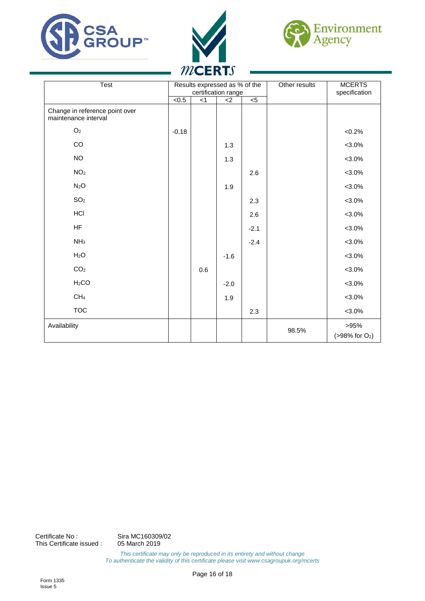





| Test                                                   | Results expressed as % of the<br>certification range |     |                |                | Other results | <b>MCERTS</b><br>specification       |
|--------------------------------------------------------|------------------------------------------------------|-----|----------------|----------------|---------------|--------------------------------------|
|                                                        | $\overline{5}$                                       | < 1 | $\overline{c}$ | $\overline{c}$ |               |                                      |
| Change in reference point over<br>maintenance interval |                                                      |     |                |                |               |                                      |
| O <sub>2</sub>                                         | $-0.18$                                              |     |                |                |               | $<0.2\%$                             |
| $_{\rm CO}$                                            |                                                      |     | 1.3            |                |               | $< 3.0\%$                            |
| <b>NO</b>                                              |                                                      |     | 1.3            |                |               | $< 3.0\%$                            |
| NO <sub>2</sub>                                        |                                                      |     |                | 2.6            |               | $< 3.0\%$                            |
| N <sub>2</sub> O                                       |                                                      |     | 1.9            |                |               | $< 3.0\%$                            |
| SO <sub>2</sub>                                        |                                                      |     |                | 2.3            |               | $< 3.0\%$                            |
| HCI                                                    |                                                      |     |                | 2.6            |               | $< 3.0\%$                            |
| <b>HF</b>                                              |                                                      |     |                | $-2.1$         |               | $< 3.0\%$                            |
| NH <sub>3</sub>                                        |                                                      |     |                | $-2.4$         |               | $< 3.0\%$                            |
| H <sub>2</sub> O                                       |                                                      |     | $-1.6$         |                |               | $< 3.0\%$                            |
| CO <sub>2</sub>                                        |                                                      | 0.6 |                |                |               | $< 3.0\%$                            |
| H <sub>2</sub> CO                                      |                                                      |     | $-2.0$         |                |               | $< 3.0\%$                            |
| CH <sub>4</sub>                                        |                                                      |     | 1.9            |                |               | $< 3.0\%$                            |
| <b>TOC</b>                                             |                                                      |     |                | 2.3            |               | $< 3.0\%$                            |
| Availability                                           |                                                      |     |                |                | 98.5%         | >95%<br>$( > 98\% \text{ for O}_2 )$ |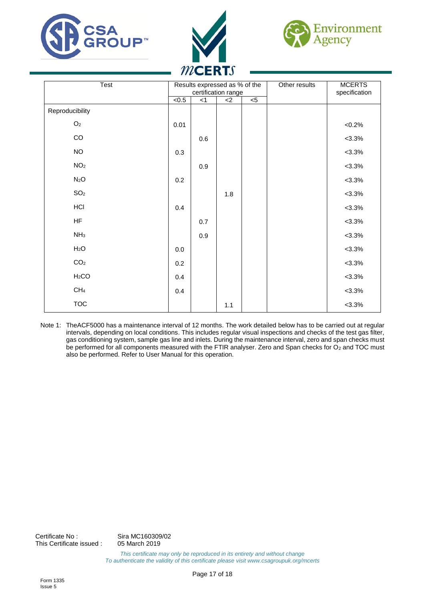





| Test              |           | Results expressed as % of the<br>certification range |       |                |  | <b>MCERTS</b><br>specification |
|-------------------|-----------|------------------------------------------------------|-------|----------------|--|--------------------------------|
|                   | $5 - 0.5$ | $<$ 1                                                | $<$ 2 | $\overline{5}$ |  |                                |
| Reproducibility   |           |                                                      |       |                |  |                                |
| O <sub>2</sub>    | 0.01      |                                                      |       |                |  | $<0.2\%$                       |
| $_{\rm CO}$       |           | 0.6                                                  |       |                |  | $< 3.3\%$                      |
| $NO$              | 0.3       |                                                      |       |                |  | $< 3.3\%$                      |
| NO <sub>2</sub>   |           | 0.9                                                  |       |                |  | $< 3.3\%$                      |
| N <sub>2</sub> O  | 0.2       |                                                      |       |                |  | $< 3.3\%$                      |
| SO <sub>2</sub>   |           |                                                      | 1.8   |                |  | $< 3.3\%$                      |
| HCI               | 0.4       |                                                      |       |                |  | $< 3.3\%$                      |
| <b>HF</b>         |           | 0.7                                                  |       |                |  | $< 3.3\%$                      |
| NH <sub>3</sub>   |           | 0.9                                                  |       |                |  | $< 3.3\%$                      |
| H <sub>2</sub> O  | $0.0\,$   |                                                      |       |                |  | $< 3.3\%$                      |
| CO <sub>2</sub>   | 0.2       |                                                      |       |                |  | $< 3.3\%$                      |
| H <sub>2</sub> CO | 0.4       |                                                      |       |                |  | $< 3.3\%$                      |
| CH <sub>4</sub>   | 0.4       |                                                      |       |                |  | $< 3.3\%$                      |
| <b>TOC</b>        |           |                                                      | 1.1   |                |  | $< 3.3\%$                      |

Note 1: TheACF5000 has a maintenance interval of 12 months. The work detailed below has to be carried out at regular intervals, depending on local conditions. This includes regular visual inspections and checks of the test gas filter, gas conditioning system, sample gas line and inlets. During the maintenance interval, zero and span checks must be performed for all components measured with the FTIR analyser. Zero and Span checks for O<sub>2</sub> and TOC must also be performed. Refer to User Manual for this operation.

Certificate No : Sira MC160309/02<br>This Certificate issued : 05 March 2019 This Certificate issued :